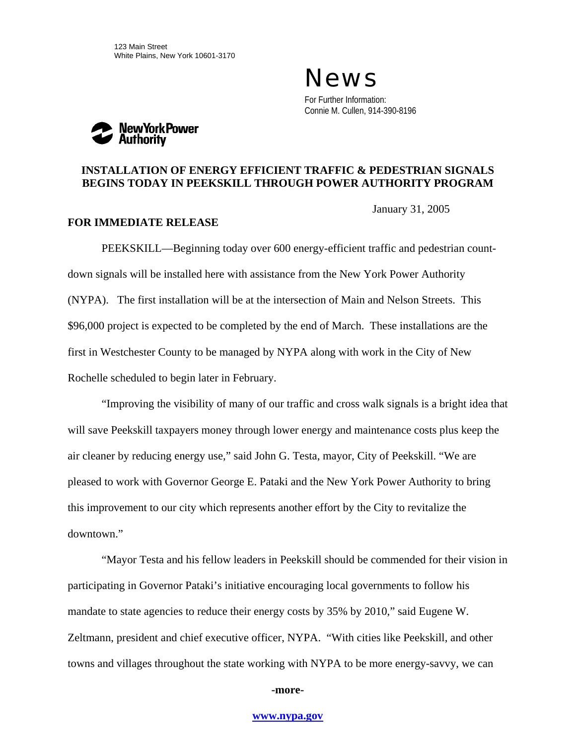News For Further Information: Connie M. Cullen, 914-390-8196



## **INSTALLATION OF ENERGY EFFICIENT TRAFFIC & PEDESTRIAN SIGNALS BEGINS TODAY IN PEEKSKILL THROUGH POWER AUTHORITY PROGRAM**

January 31, 2005

## **FOR IMMEDIATE RELEASE**

PEEKSKILL—Beginning today over 600 energy-efficient traffic and pedestrian countdown signals will be installed here with assistance from the New York Power Authority (NYPA). The first installation will be at the intersection of Main and Nelson Streets. This \$96,000 project is expected to be completed by the end of March. These installations are the first in Westchester County to be managed by NYPA along with work in the City of New Rochelle scheduled to begin later in February.

"Improving the visibility of many of our traffic and cross walk signals is a bright idea that will save Peekskill taxpayers money through lower energy and maintenance costs plus keep the air cleaner by reducing energy use," said John G. Testa, mayor, City of Peekskill. "We are pleased to work with Governor George E. Pataki and the New York Power Authority to bring this improvement to our city which represents another effort by the City to revitalize the downtown."

"Mayor Testa and his fellow leaders in Peekskill should be commended for their vision in participating in Governor Pataki's initiative encouraging local governments to follow his mandate to state agencies to reduce their energy costs by 35% by 2010," said Eugene W. Zeltmann, president and chief executive officer, NYPA. "With cities like Peekskill, and other towns and villages throughout the state working with NYPA to be more energy-savvy, we can

## **-more-**

## **[www.nypa.gov](http://www.nypa.gov/)**